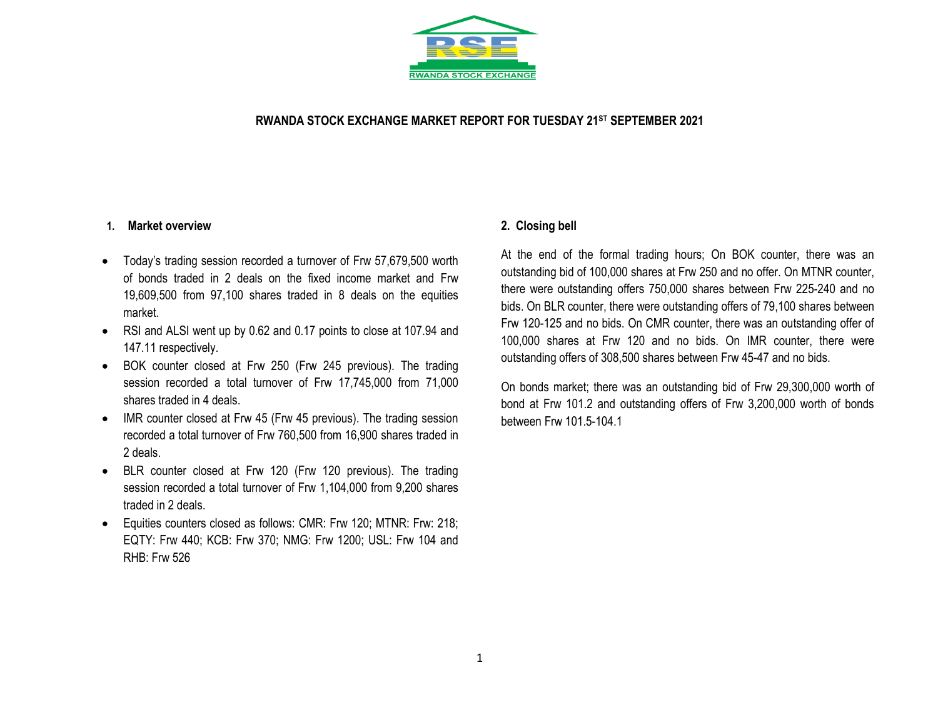

### **RWANDA STOCK EXCHANGE MARKET REPORT FOR TUESDAY 21 ST SEPTEMBER 2021**

#### **1. Market overview**

- Today's trading session recorded a turnover of Frw 57,679,500 worth of bonds traded in 2 deals on the fixed income market and Frw 19,609,500 from 97,100 shares traded in 8 deals on the equities market.
- RSI and ALSI went up by 0.62 and 0.17 points to close at 107.94 and 147.11 respectively.
- BOK counter closed at Frw 250 (Frw 245 previous). The trading session recorded a total turnover of Frw 17,745,000 from 71,000 shares traded in 4 deals.
- IMR counter closed at Frw 45 (Frw 45 previous). The trading session recorded a total turnover of Frw 760,500 from 16,900 shares traded in 2 deals.
- BLR counter closed at Frw 120 (Frw 120 previous). The trading session recorded a total turnover of Frw 1,104,000 from 9,200 shares traded in 2 deals.
- Equities counters closed as follows: CMR: Frw 120; MTNR: Frw: 218; EQTY: Frw 440; KCB: Frw 370; NMG: Frw 1200; USL: Frw 104 and RHB: Frw 526

### **2. Closing bell**

At the end of the formal trading hours; On BOK counter, there was an outstanding bid of 100,000 shares at Frw 250 and no offer. On MTNR counter, there were outstanding offers 750,000 shares between Frw 225-240 and no bids. On BLR counter, there were outstanding offers of 79,100 shares between Frw 120-125 and no bids. On CMR counter, there was an outstanding offer of 100,000 shares at Frw 120 and no bids. On IMR counter, there were outstanding offers of 308,500 shares between Frw 45-47 and no bids.

On bonds market; there was an outstanding bid of Frw 29,300,000 worth of bond at Frw 101.2 and outstanding offers of Frw 3,200,000 worth of bonds between Frw 101.5-104.1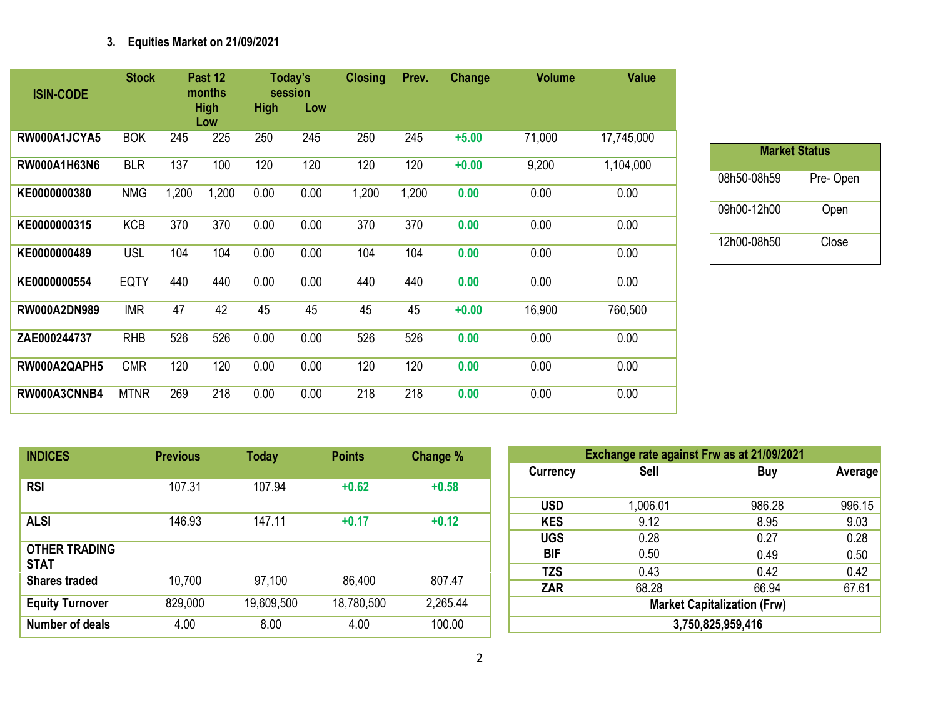# **3. Equities Market on 21/09/2021**

| <b>ISIN-CODE</b>    | <b>Stock</b> |       | Past 12<br>months<br><b>High</b><br>Low | <b>High</b> | Today's<br>session<br>Low | <b>Closing</b> | Prev. | Change  | <b>Volume</b> | <b>Value</b> |
|---------------------|--------------|-------|-----------------------------------------|-------------|---------------------------|----------------|-------|---------|---------------|--------------|
| RW000A1JCYA5        | <b>BOK</b>   | 245   | 225                                     | 250         | 245                       | 250            | 245   | $+5.00$ | 71,000        | 17,745,000   |
| RW000A1H63N6        | <b>BLR</b>   | 137   | 100                                     | 120         | 120                       | 120            | 120   | $+0.00$ | 9,200         | 1,104,000    |
| KE0000000380        | <b>NMG</b>   | 1,200 | 1,200                                   | 0.00        | 0.00                      | 1,200          | 1,200 | 0.00    | 0.00          | 0.00         |
| KE0000000315        | <b>KCB</b>   | 370   | 370                                     | 0.00        | 0.00                      | 370            | 370   | 0.00    | 0.00          | 0.00         |
| KE0000000489        | <b>USL</b>   | 104   | 104                                     | 0.00        | 0.00                      | 104            | 104   | 0.00    | 0.00          | 0.00         |
| KE0000000554        | <b>EQTY</b>  | 440   | 440                                     | 0.00        | 0.00                      | 440            | 440   | 0.00    | 0.00          | 0.00         |
| <b>RW000A2DN989</b> | <b>IMR</b>   | 47    | 42                                      | 45          | 45                        | 45             | 45    | $+0.00$ | 16,900        | 760,500      |
| ZAE000244737        | <b>RHB</b>   | 526   | 526                                     | 0.00        | 0.00                      | 526            | 526   | 0.00    | 0.00          | 0.00         |
| RW000A2QAPH5        | <b>CMR</b>   | 120   | 120                                     | 0.00        | 0.00                      | 120            | 120   | 0.00    | 0.00          | 0.00         |
| RW000A3CNNB4        | <b>MTNR</b>  | 269   | 218                                     | 0.00        | 0.00                      | 218            | 218   | 0.00    | 0.00          | 0.00         |

| <b>Market Status</b> |          |
|----------------------|----------|
|                      |          |
| 08h50-08h59          | Pre-Open |
| 09h00-12h00          | Open     |
| 12h00-08h50          | Close    |

| <b>INDICES</b>                      | <b>Previous</b> | <b>Today</b> | <b>Points</b> | Change % |
|-------------------------------------|-----------------|--------------|---------------|----------|
| <b>RSI</b>                          | 107.31          | 107.94       | $+0.62$       | $+0.58$  |
| <b>ALSI</b>                         | 146.93          | 147.11       | $+0.17$       | $+0.12$  |
| <b>OTHER TRADING</b><br><b>STAT</b> |                 |              |               |          |
| <b>Shares traded</b>                | 10,700          | 97,100       | 86,400        | 807.47   |
| <b>Equity Turnover</b>              | 829,000         | 19,609,500   | 18,780,500    | 2,265.44 |
| Number of deals                     | 4.00            | 8.00         | 4.00          | 100.00   |

|                 | Exchange rate against Frw as at 21/09/2021 |        |         |  |  |  |  |  |  |  |
|-----------------|--------------------------------------------|--------|---------|--|--|--|--|--|--|--|
| <b>Currency</b> | <b>Sell</b>                                | Buy    | Average |  |  |  |  |  |  |  |
| <b>USD</b>      | 1,006.01                                   | 986.28 | 996.15  |  |  |  |  |  |  |  |
| <b>KES</b>      | 9.12                                       | 8.95   | 9.03    |  |  |  |  |  |  |  |
| <b>UGS</b>      | 0.28                                       | 0.27   | 0.28    |  |  |  |  |  |  |  |
| BIF             | 0.50                                       | 0.49   | 0.50    |  |  |  |  |  |  |  |
| <b>TZS</b>      | 0.43                                       | 0.42   | 0.42    |  |  |  |  |  |  |  |
| <b>ZAR</b>      | 68.28                                      | 66.94  | 67.61   |  |  |  |  |  |  |  |
|                 | <b>Market Capitalization (Frw)</b>         |        |         |  |  |  |  |  |  |  |
|                 | 3,750,825,959,416                          |        |         |  |  |  |  |  |  |  |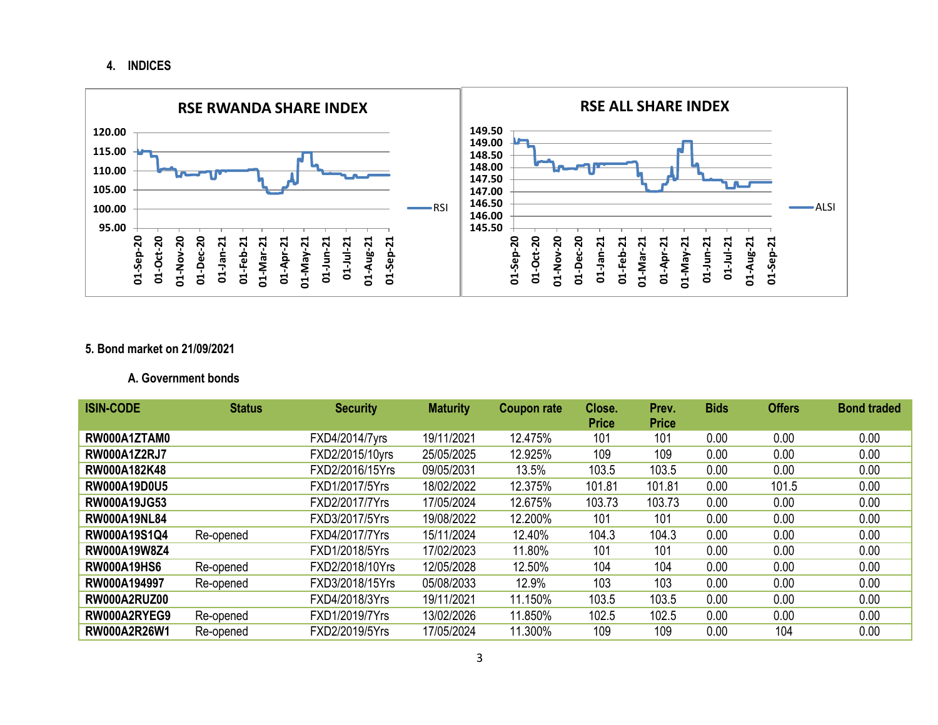**4. INDICES**



## **5. Bond market on 21/09/2021**

#### **A. Government bonds**

| <b>ISIN-CODE</b>    | <b>Status</b> | <b>Security</b> | <b>Maturity</b> | <b>Coupon rate</b> | Close.<br><b>Price</b> | Prev.<br><b>Price</b> | <b>Bids</b> | <b>Offers</b> | <b>Bond traded</b> |
|---------------------|---------------|-----------------|-----------------|--------------------|------------------------|-----------------------|-------------|---------------|--------------------|
| RW000A1ZTAM0        |               | FXD4/2014/7yrs  | 19/11/2021      | 12.475%            | 101                    | 101                   | 0.00        | 0.00          | 0.00               |
| <b>RW000A1Z2RJ7</b> |               | FXD2/2015/10yrs | 25/05/2025      | 12.925%            | 109                    | 109                   | 0.00        | 0.00          | 0.00               |
| RW000A182K48        |               | FXD2/2016/15Yrs | 09/05/2031      | 13.5%              | 103.5                  | 103.5                 | 0.00        | 0.00          | 0.00               |
| <b>RW000A19D0U5</b> |               | FXD1/2017/5Yrs  | 18/02/2022      | 12.375%            | 101.81                 | 101.81                | 0.00        | 101.5         | 0.00               |
| <b>RW000A19JG53</b> |               | FXD2/2017/7Yrs  | 17/05/2024      | 12.675%            | 103.73                 | 103.73                | 0.00        | 0.00          | 0.00               |
| <b>RW000A19NL84</b> |               | FXD3/2017/5Yrs  | 19/08/2022      | 12.200%            | 101                    | 101                   | 0.00        | 0.00          | 0.00               |
| RW000A19S1Q4        | Re-opened     | FXD4/2017/7Yrs  | 15/11/2024      | 12.40%             | 104.3                  | 104.3                 | 0.00        | 0.00          | 0.00               |
| <b>RW000A19W8Z4</b> |               | FXD1/2018/5Yrs  | 17/02/2023      | 11.80%             | 101                    | 101                   | 0.00        | 0.00          | 0.00               |
| <b>RW000A19HS6</b>  | Re-opened     | FXD2/2018/10Yrs | 12/05/2028      | 12.50%             | 104                    | 104                   | 0.00        | 0.00          | 0.00               |
| RW000A194997        | Re-opened     | FXD3/2018/15Yrs | 05/08/2033      | 12.9%              | 103                    | 103                   | 0.00        | 0.00          | 0.00               |
| RW000A2RUZ00        |               | FXD4/2018/3Yrs  | 19/11/2021      | 11.150%            | 103.5                  | 103.5                 | 0.00        | 0.00          | 0.00               |
| RW000A2RYEG9        | Re-opened     | FXD1/2019/7Yrs  | 13/02/2026      | 11.850%            | 102.5                  | 102.5                 | 0.00        | 0.00          | 0.00               |
| RW000A2R26W1        | Re-opened     | FXD2/2019/5Yrs  | 17/05/2024      | 11.300%            | 109                    | 109                   | 0.00        | 104           | 0.00               |